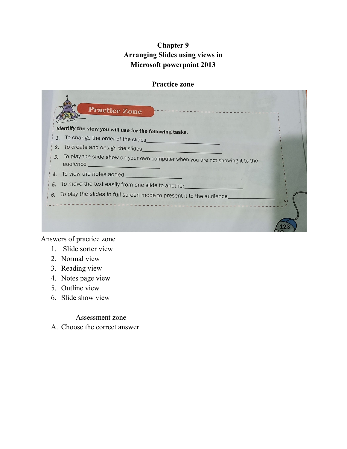# **Chapter 9 Arranging Slides using views in Microsoft powerpoint 2013**

### **Practice zone**



Answers of practice zone

- 1. Slide sorter view
- 2. Normal view
- 3. Reading view
- 4. Notes page view
- 5. Outline view
- 6. Slide show view

Assessment zone

A. Choose the correct answer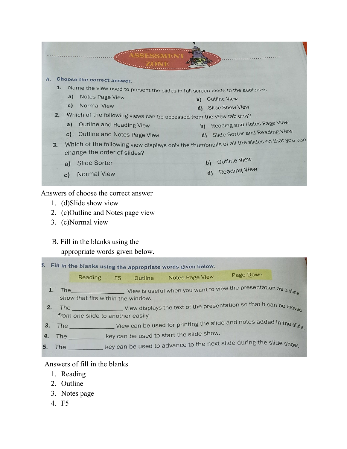

Answers of choose the correct answer

- 1. (d)Slide show view
- 2. (c)Outline and Notes page view
- 3. (c)Normal view

# B. Fill in the blanks using the

appropriate words given below.

| 3. Fill in the blanks using the appropriate words given below. |                                                                                                           |                                                                                                             |                                                                       |         |                                                                     |                  |  |  |
|----------------------------------------------------------------|-----------------------------------------------------------------------------------------------------------|-------------------------------------------------------------------------------------------------------------|-----------------------------------------------------------------------|---------|---------------------------------------------------------------------|------------------|--|--|
|                                                                |                                                                                                           | <b>Reading</b>                                                                                              | F <sub>5</sub>                                                        | Outline | <b>Notes Page View</b>                                              | <b>Page Down</b> |  |  |
|                                                                | The View is useful when you want to view the presentation as a slide<br>show that fits within the window. |                                                                                                             |                                                                       |         |                                                                     |                  |  |  |
| 2.                                                             |                                                                                                           | The View displays the text of the presentation so that it can be moved<br>from one slide to another easily. |                                                                       |         |                                                                     |                  |  |  |
| 3.                                                             |                                                                                                           |                                                                                                             | View can be used for printing the slide and notes added in the slide. |         |                                                                     |                  |  |  |
| 4.                                                             | The                                                                                                       |                                                                                                             | key can be used to start the slide show.                              |         |                                                                     |                  |  |  |
| 5.                                                             | <b>The</b>                                                                                                |                                                                                                             |                                                                       |         | key can be used to advance to the next slide during the slide show. |                  |  |  |
|                                                                |                                                                                                           |                                                                                                             |                                                                       |         |                                                                     |                  |  |  |

## Answers of fill in the blanks

- 1. Reading
- 2. Outline
- 3. Notes page
- 4. F5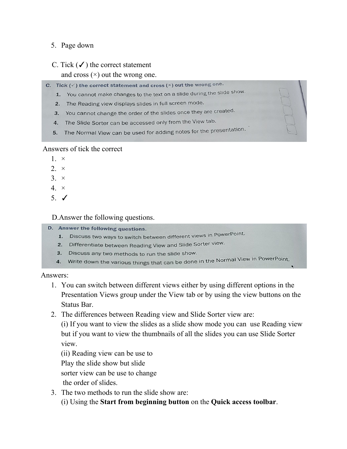## 5. Page down

## C. Tick  $(\checkmark)$  the correct statement

and cross  $(\times)$  out the wrong one.

- C. Tick ( $\checkmark$ ) the correct statement and cross ( $\times$ ) out the wrong one.
	- 1. You cannot make changes to the text on a slide during the slide show.
	- 2. The Reading view displays slides in full screen mode.
	- 3. You cannot change the order of the slides once they are created.
	- 4. The Slide Sorter can be accessed only from the View tab.
	- 5. The Normal View can be used for adding notes for the presentation.

### Answers of tick the correct

- $1 \times$
- $2 \times$
- $3. \times$
- $4. \times$
- 5. ✓

## D.Answer the following questions.

- D. Answer the following questions.
	- 1. Discuss two ways to switch between different views in PowerPoint.
	- 2. Differentiate between Reading View and Slide Sorter view.
	- 3. Discuss any two methods to run the slide show.
	- 4. Write down the various things that can be done in the Normal View in PowerPoint.

Answers:

- 1. You can switch between different views either by using different options in the Presentation Views group under the View tab or by using the view buttons on the Status Bar.
- 2. The differences between Reading view and Slide Sorter view are:

(i) If you want to view the slides as a slide show mode you can use Reading view but if you want to view the thumbnails of all the slides you can use Slide Sorter view.

(ii) Reading view can be use to

Play the slide show but slide

sorter view can be use to change

the order of slides.

3. The two methods to run the slide show are:

(i) Using the **Start from beginning button** on the **Quick access toolbar**.